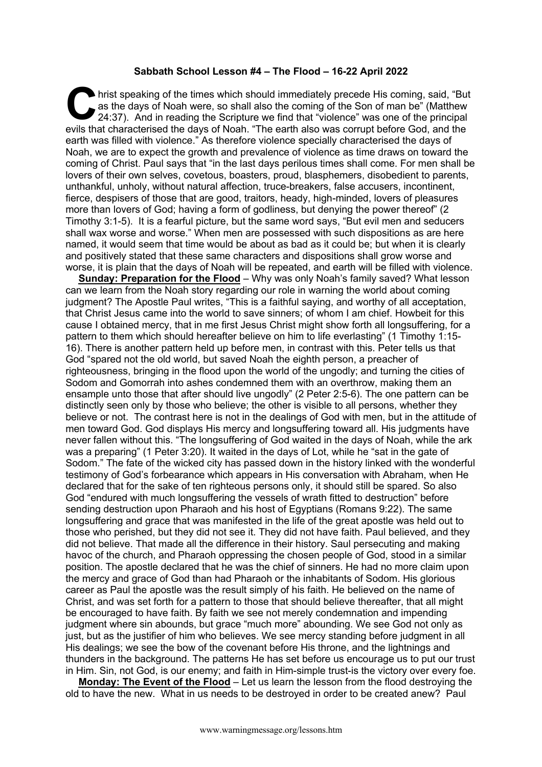## **Sabbath School Lesson #4 – The Flood – 16-22 April 2022**

hrist speaking of the times which should immediately precede His coming, said, "But as the days of Noah were, so shall also the coming of the Son of man be" (Matthew 24:37). And in reading the Scripture we find that "violence" was one of the principal hrist speaking of the times which should immediately precede His coming, said, "But as the days of Noah were, so shall also the coming of the Son of man be" (Matthew 24:37). And in reading the Scripture we find that "viole earth was filled with violence." As therefore violence specially characterised the days of Noah, we are to expect the growth and prevalence of violence as time draws on toward the coming of Christ. Paul says that "in the last days perilous times shall come. For men shall be lovers of their own selves, covetous, boasters, proud, blasphemers, disobedient to parents, unthankful, unholy, without natural affection, truce-breakers, false accusers, incontinent, fierce, despisers of those that are good, traitors, heady, high-minded, lovers of pleasures more than lovers of God; having a form of godliness, but denying the power thereof" (2 Timothy 3:1-5). It is a fearful picture, but the same word says, "But evil men and seducers shall wax worse and worse." When men are possessed with such dispositions as are here named, it would seem that time would be about as bad as it could be; but when it is clearly and positively stated that these same characters and dispositions shall grow worse and worse, it is plain that the days of Noah will be repeated, and earth will be filled with violence.

**Sunday: Preparation for the Flood** – Why was only Noah's family saved? What lesson can we learn from the Noah story regarding our role in warning the world about coming judgment? The Apostle Paul writes, "This is a faithful saying, and worthy of all acceptation, that Christ Jesus came into the world to save sinners; of whom I am chief. Howbeit for this cause I obtained mercy, that in me first Jesus Christ might show forth all longsuffering, for a pattern to them which should hereafter believe on him to life everlasting" (1 Timothy 1:15- 16). There is another pattern held up before men, in contrast with this. Peter tells us that God "spared not the old world, but saved Noah the eighth person, a preacher of righteousness, bringing in the flood upon the world of the ungodly; and turning the cities of Sodom and Gomorrah into ashes condemned them with an overthrow, making them an ensample unto those that after should live ungodly" (2 Peter 2:5-6). The one pattern can be distinctly seen only by those who believe; the other is visible to all persons, whether they believe or not. The contrast here is not in the dealings of God with men, but in the attitude of men toward God. God displays His mercy and longsuffering toward all. His judgments have never fallen without this. "The longsuffering of God waited in the days of Noah, while the ark was a preparing" (1 Peter 3:20). It waited in the days of Lot, while he "sat in the gate of Sodom." The fate of the wicked city has passed down in the history linked with the wonderful testimony of God's forbearance which appears in His conversation with Abraham, when He declared that for the sake of ten righteous persons only, it should still be spared. So also God "endured with much longsuffering the vessels of wrath fitted to destruction" before sending destruction upon Pharaoh and his host of Egyptians (Romans 9:22). The same longsuffering and grace that was manifested in the life of the great apostle was held out to those who perished, but they did not see it. They did not have faith. Paul believed, and they did not believe. That made all the difference in their history. Saul persecuting and making havoc of the church, and Pharaoh oppressing the chosen people of God, stood in a similar position. The apostle declared that he was the chief of sinners. He had no more claim upon the mercy and grace of God than had Pharaoh or the inhabitants of Sodom. His glorious career as Paul the apostle was the result simply of his faith. He believed on the name of Christ, and was set forth for a pattern to those that should believe thereafter, that all might be encouraged to have faith. By faith we see not merely condemnation and impending judgment where sin abounds, but grace "much more" abounding. We see God not only as just, but as the justifier of him who believes. We see mercy standing before judgment in all His dealings; we see the bow of the covenant before His throne, and the lightnings and thunders in the background. The patterns He has set before us encourage us to put our trust in Him. Sin, not God, is our enemy; and faith in Him-simple trust-is the victory over every foe.

**Monday: The Event of the Flood** – Let us learn the lesson from the flood destroying the old to have the new. What in us needs to be destroyed in order to be created anew? Paul